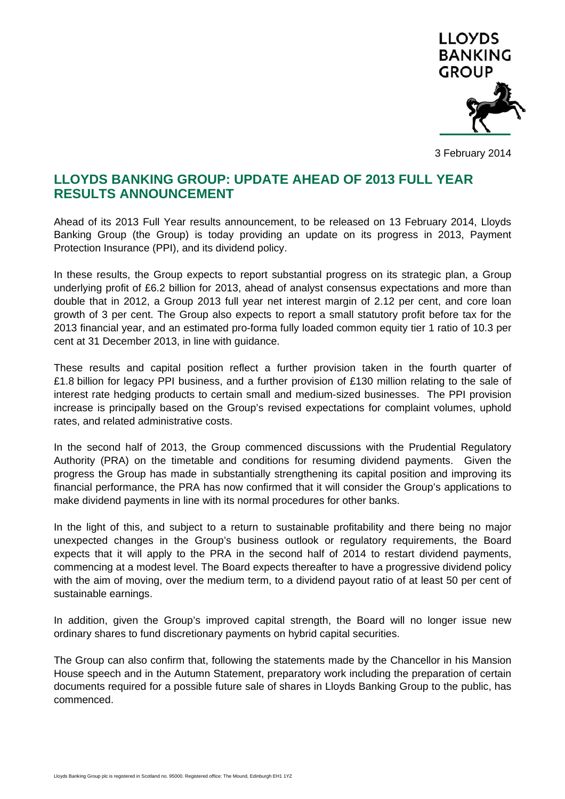

3 February 2014

## **LLOYDS BANKING GROUP: UPDATE AHEAD OF 2013 FULL YEAR RESULTS ANNOUNCEMENT**

Ahead of its 2013 Full Year results announcement, to be released on 13 February 2014, Lloyds Banking Group (the Group) is today providing an update on its progress in 2013, Payment Protection Insurance (PPI), and its dividend policy.

In these results, the Group expects to report substantial progress on its strategic plan, a Group underlying profit of £6.2 billion for 2013, ahead of analyst consensus expectations and more than double that in 2012, a Group 2013 full year net interest margin of 2.12 per cent, and core loan growth of 3 per cent. The Group also expects to report a small statutory profit before tax for the 2013 financial year, and an estimated pro-forma fully loaded common equity tier 1 ratio of 10.3 per cent at 31 December 2013, in line with guidance.

These results and capital position reflect a further provision taken in the fourth quarter of £1.8 billion for legacy PPI business, and a further provision of £130 million relating to the sale of interest rate hedging products to certain small and medium-sized businesses. The PPI provision increase is principally based on the Group's revised expectations for complaint volumes, uphold rates, and related administrative costs.

In the second half of 2013, the Group commenced discussions with the Prudential Regulatory Authority (PRA) on the timetable and conditions for resuming dividend payments. Given the progress the Group has made in substantially strengthening its capital position and improving its financial performance, the PRA has now confirmed that it will consider the Group's applications to make dividend payments in line with its normal procedures for other banks.

In the light of this, and subject to a return to sustainable profitability and there being no major unexpected changes in the Group's business outlook or regulatory requirements, the Board expects that it will apply to the PRA in the second half of 2014 to restart dividend payments, commencing at a modest level. The Board expects thereafter to have a progressive dividend policy with the aim of moving, over the medium term, to a dividend payout ratio of at least 50 per cent of sustainable earnings.

In addition, given the Group's improved capital strength, the Board will no longer issue new ordinary shares to fund discretionary payments on hybrid capital securities.

The Group can also confirm that, following the statements made by the Chancellor in his Mansion House speech and in the Autumn Statement, preparatory work including the preparation of certain documents required for a possible future sale of shares in Lloyds Banking Group to the public, has commenced.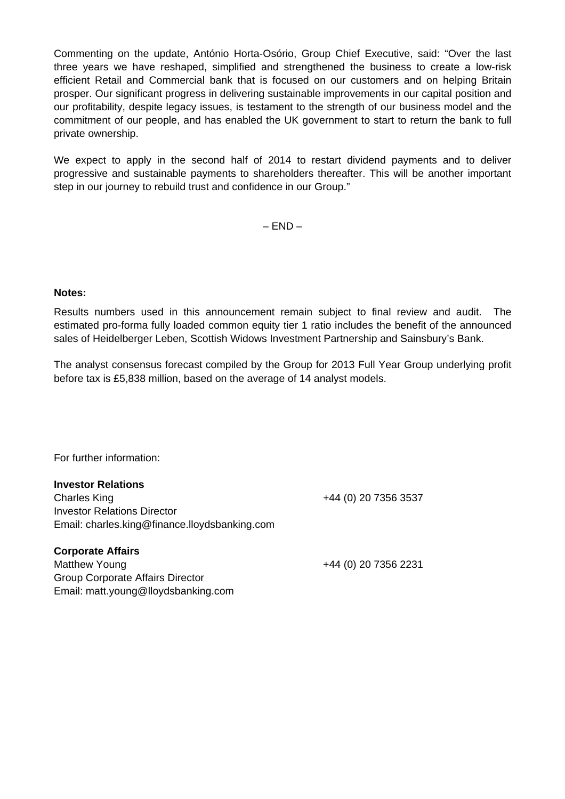Commenting on the update, António Horta-Osório, Group Chief Executive, said: "Over the last three years we have reshaped, simplified and strengthened the business to create a low-risk efficient Retail and Commercial bank that is focused on our customers and on helping Britain prosper. Our significant progress in delivering sustainable improvements in our capital position and our profitability, despite legacy issues, is testament to the strength of our business model and the commitment of our people, and has enabled the UK government to start to return the bank to full private ownership.

We expect to apply in the second half of 2014 to restart dividend payments and to deliver progressive and sustainable payments to shareholders thereafter. This will be another important step in our journey to rebuild trust and confidence in our Group."

– END *–* 

**Notes:** 

Results numbers used in this announcement remain subject to final review and audit. The estimated pro-forma fully loaded common equity tier 1 ratio includes the benefit of the announced sales of Heidelberger Leben, Scottish Widows Investment Partnership and Sainsbury's Bank.

The analyst consensus forecast compiled by the Group for 2013 Full Year Group underlying profit before tax is £5,838 million, based on the average of 14 analyst models.

For further information:

Email: matt.young@lloydsbanking.com

| <b>Investor Relations</b>                     |                      |
|-----------------------------------------------|----------------------|
| <b>Charles King</b>                           | +44 (0) 20 7356 3537 |
| <b>Investor Relations Director</b>            |                      |
| Email: charles.king@finance.lloydsbanking.com |                      |
| <b>Corporate Affairs</b>                      |                      |
| Matthew Young                                 | +44 (0) 20 7356 2231 |
| <b>Group Corporate Affairs Director</b>       |                      |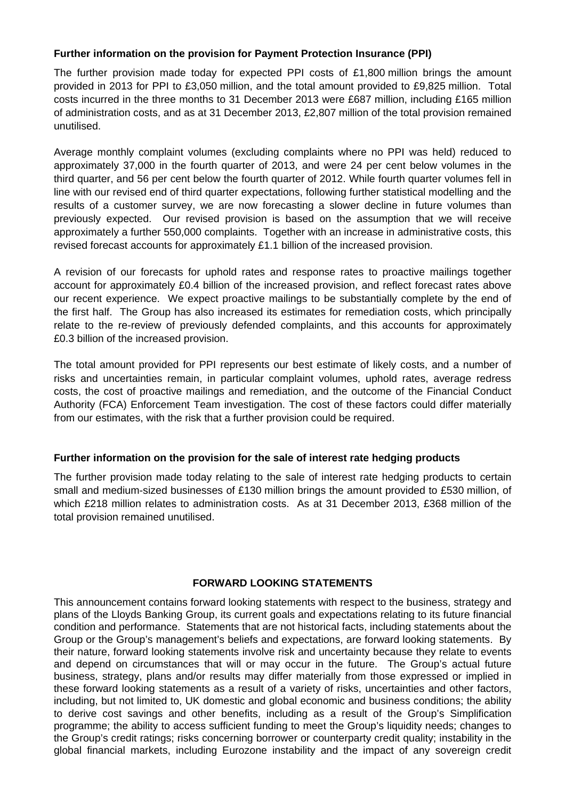## **Further information on the provision for Payment Protection Insurance (PPI)**

The further provision made today for expected PPI costs of £1,800 million brings the amount provided in 2013 for PPI to £3,050 million, and the total amount provided to £9,825 million. Total costs incurred in the three months to 31 December 2013 were £687 million, including £165 million of administration costs, and as at 31 December 2013, £2,807 million of the total provision remained unutilised.

Average monthly complaint volumes (excluding complaints where no PPI was held) reduced to approximately 37,000 in the fourth quarter of 2013, and were 24 per cent below volumes in the third quarter, and 56 per cent below the fourth quarter of 2012. While fourth quarter volumes fell in line with our revised end of third quarter expectations, following further statistical modelling and the results of a customer survey, we are now forecasting a slower decline in future volumes than previously expected. Our revised provision is based on the assumption that we will receive approximately a further 550,000 complaints. Together with an increase in administrative costs, this revised forecast accounts for approximately £1.1 billion of the increased provision.

A revision of our forecasts for uphold rates and response rates to proactive mailings together account for approximately £0.4 billion of the increased provision, and reflect forecast rates above our recent experience. We expect proactive mailings to be substantially complete by the end of the first half. The Group has also increased its estimates for remediation costs, which principally relate to the re-review of previously defended complaints, and this accounts for approximately £0.3 billion of the increased provision.

The total amount provided for PPI represents our best estimate of likely costs, and a number of risks and uncertainties remain, in particular complaint volumes, uphold rates, average redress costs, the cost of proactive mailings and remediation, and the outcome of the Financial Conduct Authority (FCA) Enforcement Team investigation. The cost of these factors could differ materially from our estimates, with the risk that a further provision could be required.

## **Further information on the provision for the sale of interest rate hedging products**

The further provision made today relating to the sale of interest rate hedging products to certain small and medium-sized businesses of £130 million brings the amount provided to £530 million, of which £218 million relates to administration costs. As at 31 December 2013, £368 million of the total provision remained unutilised.

## **FORWARD LOOKING STATEMENTS**

This announcement contains forward looking statements with respect to the business, strategy and plans of the Lloyds Banking Group, its current goals and expectations relating to its future financial condition and performance. Statements that are not historical facts, including statements about the Group or the Group's management's beliefs and expectations, are forward looking statements. By their nature, forward looking statements involve risk and uncertainty because they relate to events and depend on circumstances that will or may occur in the future. The Group's actual future business, strategy, plans and/or results may differ materially from those expressed or implied in these forward looking statements as a result of a variety of risks, uncertainties and other factors, including, but not limited to, UK domestic and global economic and business conditions; the ability to derive cost savings and other benefits, including as a result of the Group's Simplification programme; the ability to access sufficient funding to meet the Group's liquidity needs; changes to the Group's credit ratings; risks concerning borrower or counterparty credit quality; instability in the global financial markets, including Eurozone instability and the impact of any sovereign credit